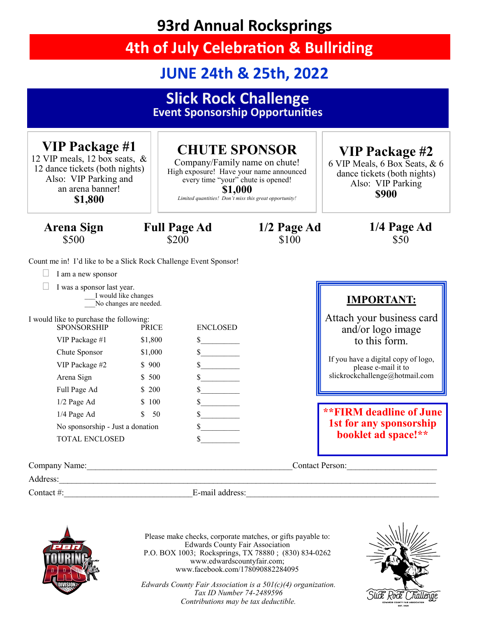**93rd Annual Rocksprings** 

**4th of July Celebration & Bullriding**

## **JUNE 24th & 25th, 2022**

#### **Slick Rock Challenge Event Sponsorship Opportunities**





Please make checks, corporate matches, or gifts payable to: Edwards County Fair Association P.O. BOX 1003; Rocksprings, TX 78880 ; (830) 834-0262 www.edwardscountyfair.com; www.facebook.com/178090882284095

*Edwards County Fair Association is a 501(c)(4) organization. Tax ID Number 74-2489596 Contributions may be tax deductible.*